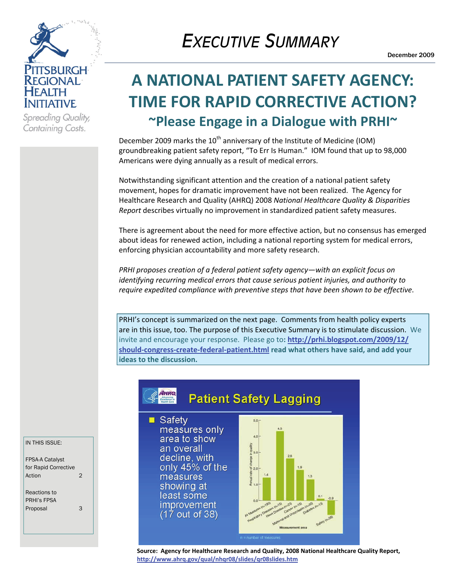

Spreading Quality, Containing Costs.

# *EXECUTIVE SUMMARY*

## **A NATIONAL PATIENT SAFETY AGENCY: TIME FOR RAPID CORRECTIVE ACTION? ~Please Engage in a Dialogue with PRHI~**

December 2009 marks the 10<sup>th</sup> anniversary of the Institute of Medicine (IOM) groundbreaking patient safety report, "To Err Is Human." IOM found that up to 98,000 Americans were dying annually as a result of medical errors.

Notwithstanding significant attention and the creation of a national patient safety movement, hopes for dramatic improvement have not been realized. The Agency for Healthcare Research and Quality (AHRQ) 2008 *National Healthcare Quality & Disparities Report* describes virtually no improvement in standardized patient safety measures.

There is agreement about the need for more effective action, but no consensus has emerged about ideas for renewed action, including a national reporting system for medical errors, enforcing physician accountability and more safety research.

*PRHI proposes creation of a federal patient safety agency—with an explicit focus on identifying recurring medical errors that cause serious patient injuries, and authority to require expedited compliance with preventive steps that have been shown to be effective*.

PRHI's concept is summarized on the next page. Comments from health policy experts are in this issue, too. The purpose of this Executive Summary is to stimulate discussion. We invite and encourage your response. Please go to**: [http://prhi.blogspot.com/2009/12/](http://prhi.blogspot.com/2009/12/should-congress-create-federal-patient.html) should‐congress‐create‐federal‐[patient.html](http://prhi.blogspot.com/2009/12/should-congress-create-federal-patient.html) read what others have said, and add your ideas to the discussion.**



*improvement*  $(17$  out of 38)



**Source: Agency for Healthcare Research and Quality, 2008 National Healthcare Quality Report, <http://www.ahrq.gov/qual/nhqr08/slides/qr08slides.htm>**

IN THIS ISSUE:

FPSA-A Catalyst for Rapid Corrective Action 2

Reactions to PRHI's FPSA Proposal 3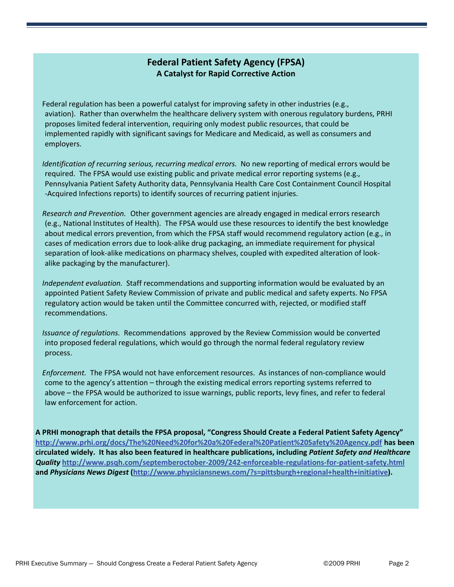#### **Federal Patient Safety Agency (FPSA) A Catalyst for Rapid Corrective Action**

Federal regulation has been a powerful catalyst for improving safety in other industries (e.g., aviation). Rather than overwhelm the healthcare delivery system with onerous regulatory burdens, PRHI proposes limited federal intervention, requiring only modest public resources, that could be implemented rapidly with significant savings for Medicare and Medicaid, as well as consumers and employers.

*Identification of recurring serious, recurring medical errors.* No new reporting of medical errors would be required. The FPSA would use existing public and private medical error reporting systems (e.g., Pennsylvania Patient Safety Authority data, Pennsylvania Health Care Cost Containment Council Hospital ‐Acquired Infections reports) to identify sources of recurring patient injuries.

*Research and Prevention.* Other government agencies are already engaged in medical errors research (e.g., National Institutes of Health). The FPSA would use these resources to identify the best knowledge about medical errors prevention, from which the FPSA staff would recommend regulatory action (e.g., in cases of medication errors due to look‐alike drug packaging, an immediate requirement for physical separation of look-alike medications on pharmacy shelves, coupled with expedited alteration of lookalike packaging by the manufacturer).

*Independent evaluation.* Staff recommendations and supporting information would be evaluated by an appointed Patient Safety Review Commission of private and public medical and safety experts. No FPSA regulatory action would be taken until the Committee concurred with, rejected, or modified staff recommendations.

*Issuance of regulations.* Recommendations approved by the Review Commission would be converted into proposed federal regulations, which would go through the normal federal regulatory review process.

*Enforcement.* The FPSA would not have enforcement resources. As instances of non‐compliance would come to the agency's attention – through the existing medical errors reporting systems referred to above – the FPSA would be authorized to issue warnings, public reports, levy fines, and refer to federal law enforcement for action.

**A PRHI monograph that details the FPSA proposal, "Congress Should Create a Federal Patient Safety Agency" <http://www.prhi.org/docs/The%20Need%20for%20a%20Federal%20Patient%20Safety%20Agency.pdf> has been** circulated widely. It has also been featured in healthcare publications, including Patient Safety and Healthcare *Quality* **[http://www.psqh.com/septemberoctober](http://www.psqh.com/septemberoctober-2009/242-enforceable-regulations-for-patient-safety.html)‐2009/242‐enforceable‐regulations‐for‐patient‐safety.html and** *Physicians News Digest* **[\(http://www.physiciansnews.com/?s=pittsburgh+regional+health+initiative](http://www.physiciansnews.com/?s=pittsburgh+regional+health+initiative)).**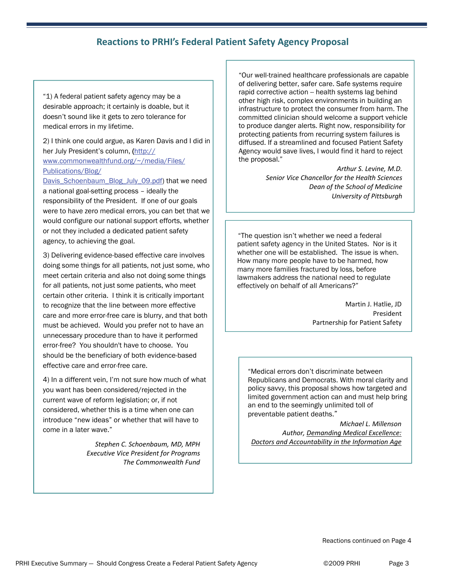## **Reactions to PRHI's Federal Patient Safety Agency Proposal**

"1) A federal patient safety agency may be a desirable approach; it certainly is doable, but it doesn't sound like it gets to zero tolerance for medical errors in my lifetime.

2) I think one could argue, as Karen Davis and I did in her July President's column, ([http://](http://www.commonwealthfund.org/~/media/Files/Publications/Blog/Davis_Schoenbaum_Blog_July_09.pdf) [www.commonwealthfund.org/~/media/Files/](http://www.commonwealthfund.org/~/media/Files/Publications/Blog/Davis_Schoenbaum_Blog_July_09.pdf) [Publications/Blog/](http://www.commonwealthfund.org/~/media/Files/Publications/Blog/Davis_Schoenbaum_Blog_July_09.pdf)

[Davis\\_Schoenbaum\\_Blog\\_July\\_09.pdf](http://www.commonwealthfund.org/~/media/Files/Publications/Blog/Davis_Schoenbaum_Blog_July_09.pdf)) that we need a national goal-setting process – ideally the responsibility of the President. If one of our goals were to have zero medical errors, you can bet that we would configure our national support efforts, whether or not they included a dedicated patient safety agency, to achieving the goal.

3) Delivering evidence-based effective care involves doing some things for all patients, not just some, who meet certain criteria and also not doing some things for all patients, not just some patients, who meet certain other criteria. I think it is critically important to recognize that the line between more effective care and more error-free care is blurry, and that both must be achieved. Would you prefer not to have an unnecessary procedure than to have it performed error-free? You shouldn't have to choose. You should be the beneficiary of both evidence-based effective care and error-free care.

4) In a different vein, I'm not sure how much of what you want has been considered/rejected in the current wave of reform legislation; or, if not considered, whether this is a time when one can introduce "new ideas" or whether that will have to come in a later wave."

> *Stephen C. Schoenbaum, MD, MPH Executive Vice President for Programs The Commonwealth Fund*

"Our well-trained healthcare professionals are capable of delivering better, safer care. Safe systems require rapid corrective action -- health systems lag behind other high risk, complex environments in building an infrastructure to protect the consumer from harm. The committed clinician should welcome a support vehicle to produce danger alerts. Right now, responsibility for protecting patients from recurring system failures is diffused. If a streamlined and focused Patient Safety Agency would save lives, I would find it hard to reject the proposal."

> *Arthur S. Levine, M.D. Senior Vice Chancellor for the Health Sciences Dean of the School of Medicine University of Pittsburgh*

"The question isn't whether we need a federal patient safety agency in the United States. Nor is it whether one will be established. The issue is when. How many more people have to be harmed, how many more families fractured by loss, before lawmakers address the national need to regulate effectively on behalf of all Americans?"

> Martin J. Hatlie, JD President Partnership for Patient Safety

"Medical errors don't discriminate between Republicans and Democrats. With moral clarity and policy savvy, this proposal shows how targeted and limited government action can and must help bring an end to the seemingly unlimited toll of preventable patient deaths."

*Michael L. Millenson Author, Demanding Medical Excellence: Doctors and Accountability in the Information Age*

Reactions continued on Page 4